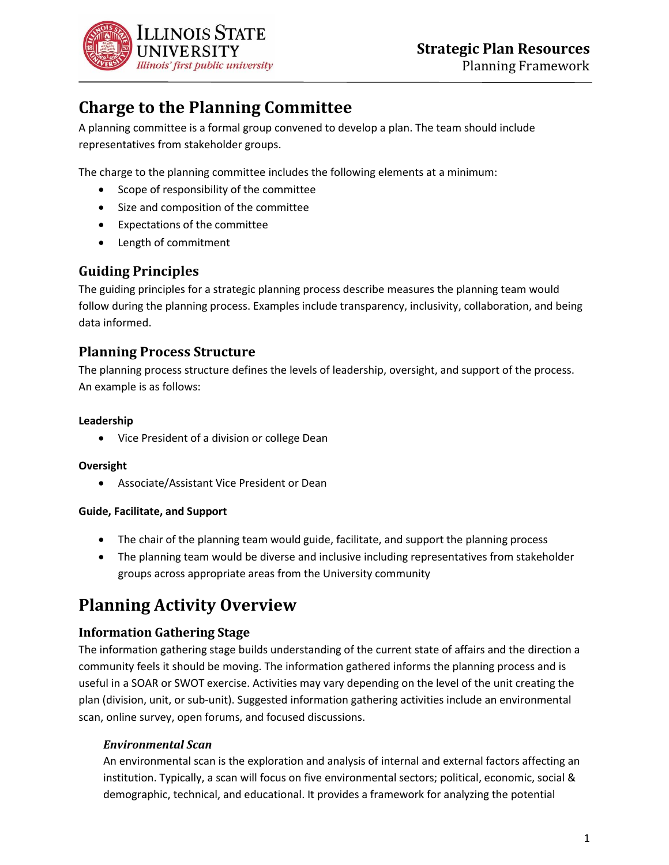

# **Charge to the Planning Committee**

A planning committee is a formal group convened to develop a plan. The team should include representatives from stakeholder groups.

The charge to the planning committee includes the following elements at a minimum:

- Scope of responsibility of the committee
- Size and composition of the committee
- Expectations of the committee
- Length of commitment

# **Guiding Principles**

The guiding principles for a strategic planning process describe measures the planning team would follow during the planning process. Examples include transparency, inclusivity, collaboration, and being data informed.

# **Planning Process Structure**

The planning process structure defines the levels of leadership, oversight, and support of the process. An example is as follows:

### **Leadership**

• Vice President of a division or college Dean

#### **Oversight**

• Associate/Assistant Vice President or Dean

#### **Guide, Facilitate, and Support**

- The chair of the planning team would guide, facilitate, and support the planning process
- The planning team would be diverse and inclusive including representatives from stakeholder groups across appropriate areas from the University community

# **Planning Activity Overview**

## **Information Gathering Stage**

The information gathering stage builds understanding of the current state of affairs and the direction a community feels it should be moving. The information gathered informs the planning process and is useful in a SOAR or SWOT exercise. Activities may vary depending on the level of the unit creating the plan (division, unit, or sub-unit). Suggested information gathering activities include an environmental scan, online survey, open forums, and focused discussions.

## *Environmental Scan*

An environmental scan is the exploration and analysis of internal and external factors affecting an institution. Typically, a scan will focus on five environmental sectors; political, economic, social & demographic, technical, and educational. It provides a framework for analyzing the potential